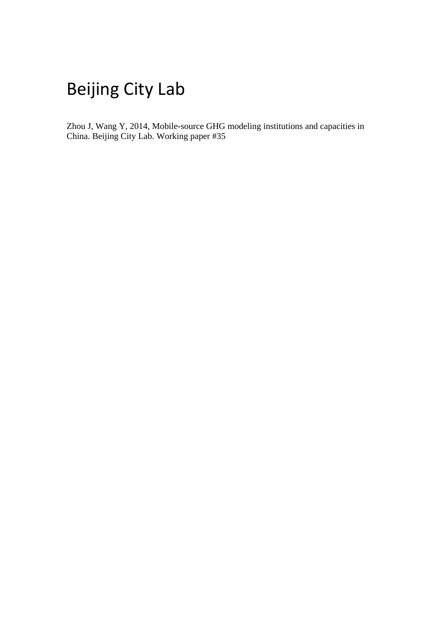# Beijing City Lab

Zhou J, Wang Y, 2014, Mobile-source GHG modeling institutions and capacities in China. Beijing City Lab. Working paper #35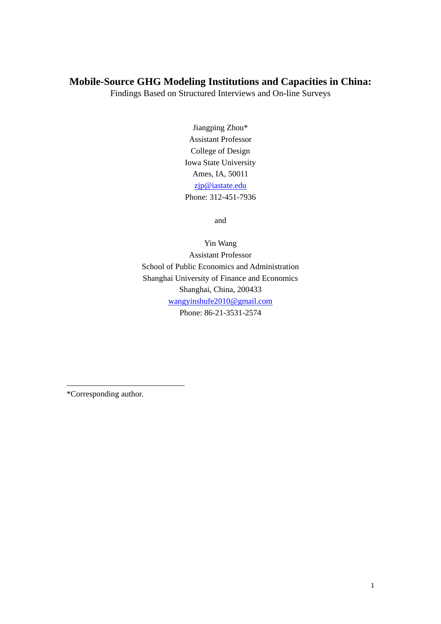# **Mobile-Source GHG Modeling Institutions and Capacities in China:**

Findings Based on Structured Interviews and On-line Surveys

Jiangping Zhou\* Assistant Professor College of Design Iowa State University Ames, IA, 50011 [zjp@iastate.edu](mailto:zjp@iastate.edu) Phone: 312-451-7936

and

Yin Wang Assistant Professor School of Public Economics and Administration Shanghai University of Finance and Economics Shanghai, China, 200433 [wangyinshufe2010@gmail.com](mailto:wangyinshufe2010@gmail.com) Phone: 86-21-3531-2574

\*Corresponding author.

\_\_\_\_\_\_\_\_\_\_\_\_\_\_\_\_\_\_\_\_\_\_\_\_\_\_\_\_\_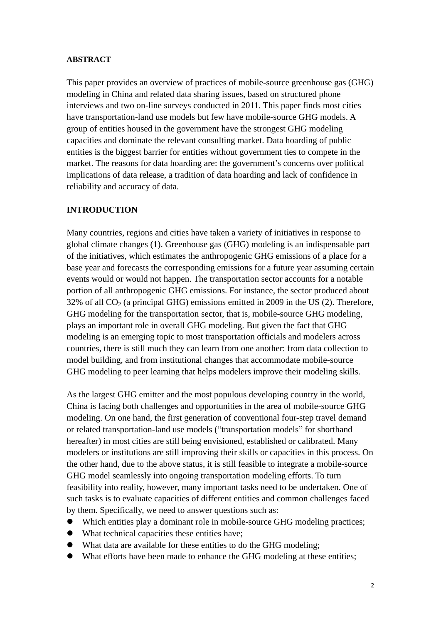#### **ABSTRACT**

This paper provides an overview of practices of mobile-source greenhouse gas (GHG) modeling in China and related data sharing issues, based on structured phone interviews and two on-line surveys conducted in 2011. This paper finds most cities have transportation-land use models but few have mobile-source GHG models. A group of entities housed in the government have the strongest GHG modeling capacities and dominate the relevant consulting market. Data hoarding of public entities is the biggest barrier for entities without government ties to compete in the market. The reasons for data hoarding are: the government's concerns over political implications of data release, a tradition of data hoarding and lack of confidence in reliability and accuracy of data.

#### **INTRODUCTION**

Many countries, regions and cities have taken a variety of initiatives in response to global climate changes (1). Greenhouse gas (GHG) modeling is an indispensable part of the initiatives, which estimates the anthropogenic GHG emissions of a place for a base year and forecasts the corresponding emissions for a future year assuming certain events would or would not happen. The transportation sector accounts for a notable portion of all anthropogenic GHG emissions. For instance, the sector produced about  $32\%$  of all  $CO<sub>2</sub>$  (a principal GHG) emissions emitted in 2009 in the US (2). Therefore, GHG modeling for the transportation sector, that is, mobile-source GHG modeling, plays an important role in overall GHG modeling. But given the fact that GHG modeling is an emerging topic to most transportation officials and modelers across countries, there is still much they can learn from one another: from data collection to model building, and from institutional changes that accommodate mobile-source GHG modeling to peer learning that helps modelers improve their modeling skills.

As the largest GHG emitter and the most populous developing country in the world, China is facing both challenges and opportunities in the area of mobile-source GHG modeling. On one hand, the first generation of conventional four-step travel demand or related transportation-land use models ("transportation models" for shorthand hereafter) in most cities are still being envisioned, established or calibrated. Many modelers or institutions are still improving their skills or capacities in this process. On the other hand, due to the above status, it is still feasible to integrate a mobile-source GHG model seamlessly into ongoing transportation modeling efforts. To turn feasibility into reality, however, many important tasks need to be undertaken. One of such tasks is to evaluate capacities of different entities and common challenges faced by them. Specifically, we need to answer questions such as:

- Which entities play a dominant role in mobile-source GHG modeling practices;
- What technical capacities these entities have;
- What data are available for these entities to do the GHG modeling;
- What efforts have been made to enhance the GHG modeling at these entities;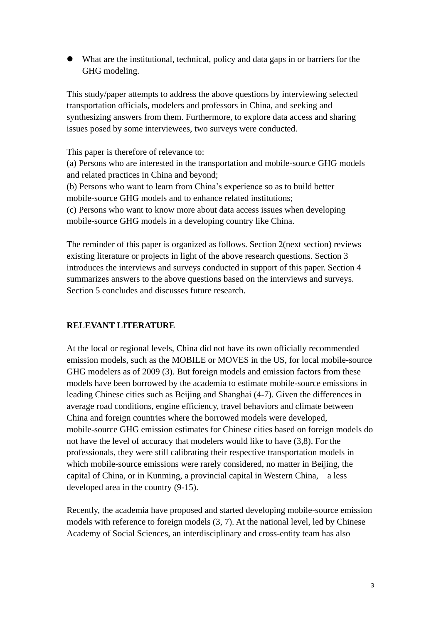What are the institutional, technical, policy and data gaps in or barriers for the GHG modeling.

This study/paper attempts to address the above questions by interviewing selected transportation officials, modelers and professors in China, and seeking and synthesizing answers from them. Furthermore, to explore data access and sharing issues posed by some interviewees, two surveys were conducted.

This paper is therefore of relevance to: (a) Persons who are interested in the transportation and mobile-source GHG models and related practices in China and beyond; (b) Persons who want to learn from China's experience so as to build better mobile-source GHG models and to enhance related institutions; (c) Persons who want to know more about data access issues when developing mobile-source GHG models in a developing country like China.

The reminder of this paper is organized as follows. Section 2(next section) reviews existing literature or projects in light of the above research questions. Section 3 introduces the interviews and surveys conducted in support of this paper. Section 4 summarizes answers to the above questions based on the interviews and surveys. Section 5 concludes and discusses future research.

#### **RELEVANT LITERATURE**

At the local or regional levels, China did not have its own officially recommended emission models, such as the MOBILE or MOVES in the US, for local mobile-source GHG modelers as of 2009 (3). But foreign models and emission factors from these models have been borrowed by the academia to estimate mobile-source emissions in leading Chinese cities such as Beijing and Shanghai (4-7). Given the differences in average road conditions, engine efficiency, travel behaviors and climate between China and foreign countries where the borrowed models were developed, mobile-source GHG emission estimates for Chinese cities based on foreign models do not have the level of accuracy that modelers would like to have (3,8). For the professionals, they were still calibrating their respective transportation models in which mobile-source emissions were rarely considered, no matter in Beijing, the capital of China, or in Kunming, a provincial capital in Western China, a less developed area in the country (9-15).

Recently, the academia have proposed and started developing mobile-source emission models with reference to foreign models (3, 7). At the national level, led by Chinese Academy of Social Sciences, an interdisciplinary and cross-entity team has also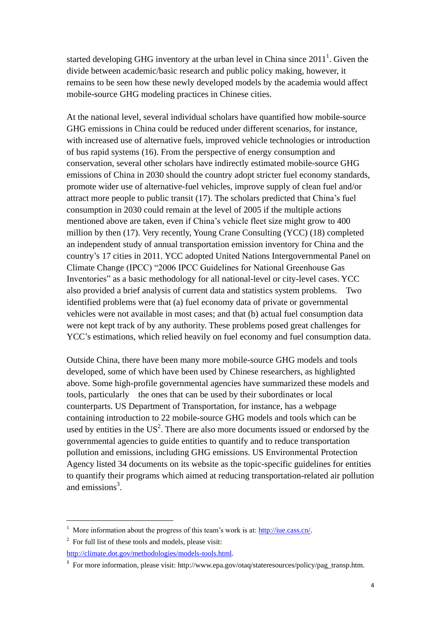started developing GHG inventory at the urban level in China since  $2011<sup>1</sup>$ . Given the divide between academic/basic research and public policy making, however, it remains to be seen how these newly developed models by the academia would affect mobile-source GHG modeling practices in Chinese cities.

At the national level, several individual scholars have quantified how mobile-source GHG emissions in China could be reduced under different scenarios, for instance, with increased use of alternative fuels, improved vehicle technologies or introduction of bus rapid systems (16). From the perspective of energy consumption and conservation, several other scholars have indirectly estimated mobile-source GHG emissions of China in 2030 should the country adopt stricter fuel economy standards, promote wider use of alternative-fuel vehicles, improve supply of clean fuel and/or attract more people to public transit (17). The scholars predicted that China's fuel consumption in 2030 could remain at the level of 2005 if the multiple actions mentioned above are taken, even if China's vehicle fleet size might grow to 400 million by then (17). Very recently, Young Crane Consulting (YCC) (18) completed an independent study of annual transportation emission inventory for China and the country's 17 cities in 2011. YCC adopted United Nations Intergovernmental Panel on Climate Change (IPCC) "2006 IPCC Guidelines for National Greenhouse Gas Inventories" as a basic methodology for all national-level or city-level cases. YCC also provided a brief analysis of current data and statistics system problems. Two identified problems were that (a) fuel economy data of private or governmental vehicles were not available in most cases; and that (b) actual fuel consumption data were not kept track of by any authority. These problems posed great challenges for YCC's estimations, which relied heavily on fuel economy and fuel consumption data.

Outside China, there have been many more mobile-source GHG models and tools developed, some of which have been used by Chinese researchers, as highlighted above. Some high-profile governmental agencies have summarized these models and tools, particularly the ones that can be used by their subordinates or local counterparts. US Department of Transportation, for instance, has a webpage containing introduction to 22 mobile-source GHG models and tools which can be used by entities in the  $US^2$ . There are also more documents issued or endorsed by the governmental agencies to guide entities to quantify and to reduce transportation pollution and emissions, including GHG emissions. US Environmental Protection Agency listed 34 documents on its website as the topic-specific guidelines for entities to quantify their programs which aimed at reducing transportation-related air pollution and emissions<sup>3</sup>.

-

<sup>&</sup>lt;sup>1</sup> More information about the progress of this team's work is at: [http://iue.cass.cn/.](http://iue.cass.cn/)

 $2^2$  For full list of these tools and models, please visit:

[http://climate.dot.gov/methodologies/models-tools.html.](http://climate.dot.gov/methodologies/models-tools.html)

<sup>&</sup>lt;sup>3</sup> For more information, please visit: [http://www.epa.gov/otaq/stateresources/policy/pag\\_transp.htm.](http://www.epa.gov/otaq/stateresources/policy/pag_transp.htm)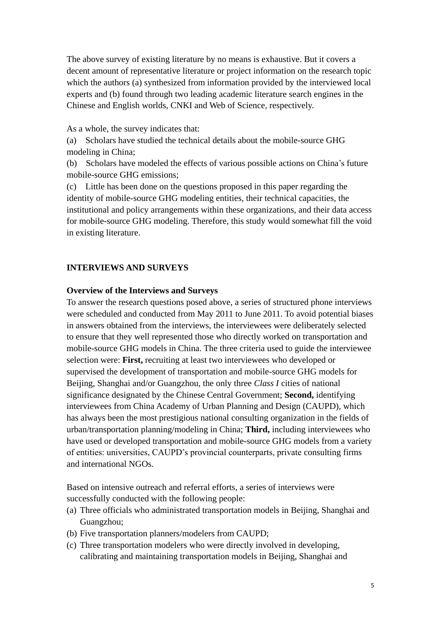The above survey of existing literature by no means is exhaustive. But it covers a decent amount of representative literature or project information on the research topic which the authors (a) synthesized from information provided by the interviewed local experts and (b) found through two leading academic literature search engines in the Chinese and English worlds, CNKI and Web of Science, respectively.

As a whole, the survey indicates that:

(a) Scholars have studied the technical details about the mobile-source GHG modeling in China;

(b) Scholars have modeled the effects of various possible actions on China's future mobile-source GHG emissions;

(c) Little has been done on the questions proposed in this paper regarding the identity of mobile-source GHG modeling entities, their technical capacities, the institutional and policy arrangements within these organizations, and their data access for mobile-source GHG modeling. Therefore, this study would somewhat fill the void in existing literature.

#### **INTERVIEWS AND SURVEYS**

#### **Overview of the Interviews and Surveys**

To answer the research questions posed above, a series of structured phone interviews were scheduled and conducted from May 2011 to June 2011. To avoid potential biases in answers obtained from the interviews, the interviewees were deliberately selected to ensure that they well represented those who directly worked on transportation and mobile-source GHG models in China. The three criteria used to guide the interviewee selection were: **First,** recruiting at least two interviewees who developed or supervised the development of transportation and mobile-source GHG models for Beijing, Shanghai and/or Guangzhou, the only three *Class I* cities of national significance designated by the Chinese Central Government; **Second,** identifying interviewees from China Academy of Urban Planning and Design (CAUPD), which has always been the most prestigious national consulting organization in the fields of urban/transportation planning/modeling in China; **Third,** including interviewees who have used or developed transportation and mobile-source GHG models from a variety of entities: universities, CAUPD's provincial counterparts, private consulting firms and international NGOs.

Based on intensive outreach and referral efforts, a series of interviews were successfully conducted with the following people:

- (a) Three officials who administrated transportation models in Beijing, Shanghai and Guangzhou;
- (b) Five transportation planners/modelers from CAUPD;
- (c) Three transportation modelers who were directly involved in developing, calibrating and maintaining transportation models in Beijing, Shanghai and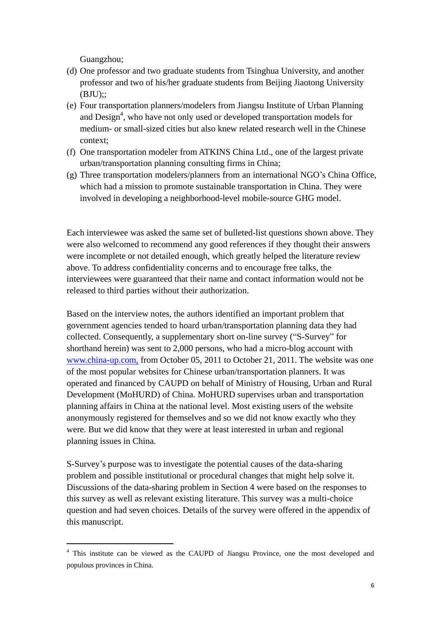Guangzhou;

-

- (d) One professor and two graduate students from Tsinghua University, and another professor and two of his/her graduate students from Beijing Jiaotong University  $(BJU)$ ::
- (e) Four transportation planners/modelers from Jiangsu Institute of Urban Planning and Design<sup>4</sup>, who have not only used or developed transportation models for medium- or small-sized cities but also knew related research well in the Chinese context;
- (f) One transportation modeler from ATKINS China Ltd., one of the largest private urban/transportation planning consulting firms in China;
- (g) Three transportation modelers/planners from an international NGO's China Office, which had a mission to promote sustainable transportation in China. They were involved in developing a neighborhood-level mobile-source GHG model.

Each interviewee was asked the same set of bulleted-list questions shown above. They were also welcomed to recommend any good references if they thought their answers were incomplete or not detailed enough, which greatly helped the literature review above. To address confidentiality concerns and to encourage free talks, the interviewees were guaranteed that their name and contact information would not be released to third parties without their authorization.

Based on the interview notes, the authors identified an important problem that government agencies tended to hoard urban/transportation planning data they had collected. Consequently, a supplementary short on-line survey ("S-Survey" for shorthand herein) was sent to 2,000 persons, who had a micro-blog account with [www.china-up.com,](http://www.china-up.com/) from October 05, 2011 to October 21, 2011. The website was one of the most popular websites for Chinese urban/transportation planners. It was operated and financed by CAUPD on behalf of Ministry of Housing, Urban and Rural Development (MoHURD) of China. MoHURD supervises urban and transportation planning affairs in China at the national level. Most existing users of the website anonymously registered for themselves and so we did not know exactly who they were. But we did know that they were at least interested in urban and regional planning issues in China.

S-Survey's purpose was to investigate the potential causes of the data-sharing problem and possible institutional or procedural changes that might help solve it. Discussions of the data-sharing problem in Section 4 were based on the responses to this survey as well as relevant existing literature. This survey was a multi-choice question and had seven choices. Details of the survey were offered in the appendix of this manuscript.

<sup>4</sup> This institute can be viewed as the CAUPD of Jiangsu Province, one the most developed and populous provinces in China.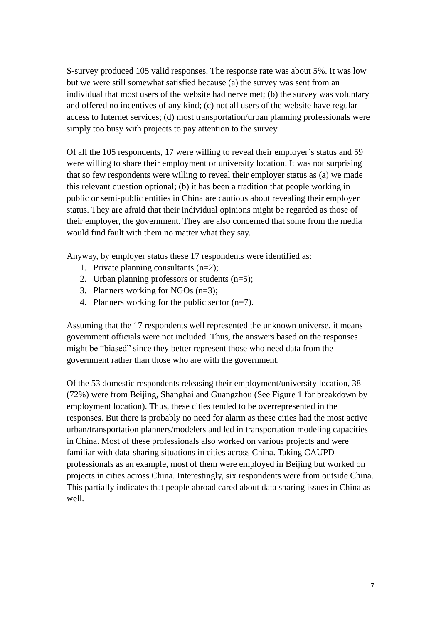S-survey produced 105 valid responses. The response rate was about 5%. It was low but we were still somewhat satisfied because (a) the survey was sent from an individual that most users of the website had nerve met; (b) the survey was voluntary and offered no incentives of any kind; (c) not all users of the website have regular access to Internet services; (d) most transportation/urban planning professionals were simply too busy with projects to pay attention to the survey.

Of all the 105 respondents, 17 were willing to reveal their employer's status and 59 were willing to share their employment or university location. It was not surprising that so few respondents were willing to reveal their employer status as (a) we made this relevant question optional; (b) it has been a tradition that people working in public or semi-public entities in China are cautious about revealing their employer status. They are afraid that their individual opinions might be regarded as those of their employer, the government. They are also concerned that some from the media would find fault with them no matter what they say.

Anyway, by employer status these 17 respondents were identified as:

- 1. Private planning consultants (n=2);
- 2. Urban planning professors or students (n=5);
- 3. Planners working for NGOs (n=3);
- 4. Planners working for the public sector (n=7).

Assuming that the 17 respondents well represented the unknown universe, it means government officials were not included. Thus, the answers based on the responses might be "biased" since they better represent those who need data from the government rather than those who are with the government.

Of the 53 domestic respondents releasing their employment/university location, 38 (72%) were from Beijing, Shanghai and Guangzhou (See Figure 1 for breakdown by employment location). Thus, these cities tended to be overrepresented in the responses. But there is probably no need for alarm as these cities had the most active urban/transportation planners/modelers and led in transportation modeling capacities in China. Most of these professionals also worked on various projects and were familiar with data-sharing situations in cities across China. Taking CAUPD professionals as an example, most of them were employed in Beijing but worked on projects in cities across China. Interestingly, six respondents were from outside China. This partially indicates that people abroad cared about data sharing issues in China as well.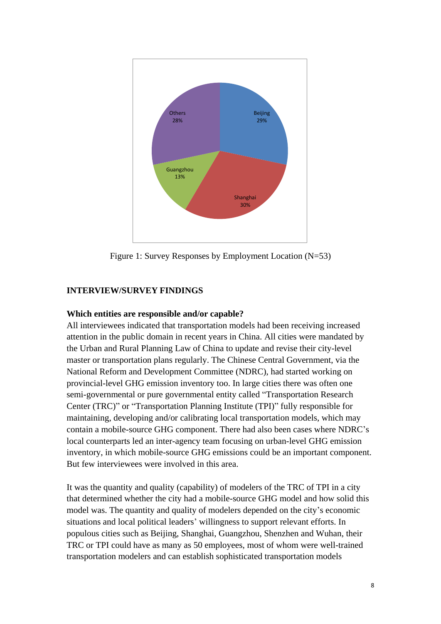

Figure 1: Survey Responses by Employment Location (N=53)

## **INTERVIEW/SURVEY FINDINGS**

#### **Which entities are responsible and/or capable?**

All interviewees indicated that transportation models had been receiving increased attention in the public domain in recent years in China. All cities were mandated by the Urban and Rural Planning Law of China to update and revise their city-level master or transportation plans regularly. The Chinese Central Government, via the National Reform and Development Committee (NDRC), had started working on provincial-level GHG emission inventory too. In large cities there was often one semi-governmental or pure governmental entity called "Transportation Research Center (TRC)" or "Transportation Planning Institute (TPI)" fully responsible for maintaining, developing and/or calibrating local transportation models, which may contain a mobile-source GHG component. There had also been cases where NDRC's local counterparts led an inter-agency team focusing on urban-level GHG emission inventory, in which mobile-source GHG emissions could be an important component. But few interviewees were involved in this area.

It was the quantity and quality (capability) of modelers of the TRC of TPI in a city that determined whether the city had a mobile-source GHG model and how solid this model was. The quantity and quality of modelers depended on the city's economic situations and local political leaders' willingness to support relevant efforts. In populous cities such as Beijing, Shanghai, Guangzhou, Shenzhen and Wuhan, their TRC or TPI could have as many as 50 employees, most of whom were well-trained transportation modelers and can establish sophisticated transportation models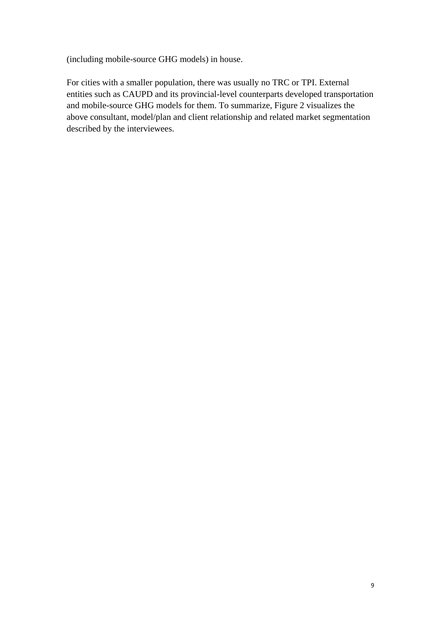(including mobile-source GHG models) in house.

For cities with a smaller population, there was usually no TRC or TPI. External entities such as CAUPD and its provincial-level counterparts developed transportation and mobile-source GHG models for them. To summarize, Figure 2 visualizes the above consultant, model/plan and client relationship and related market segmentation described by the interviewees.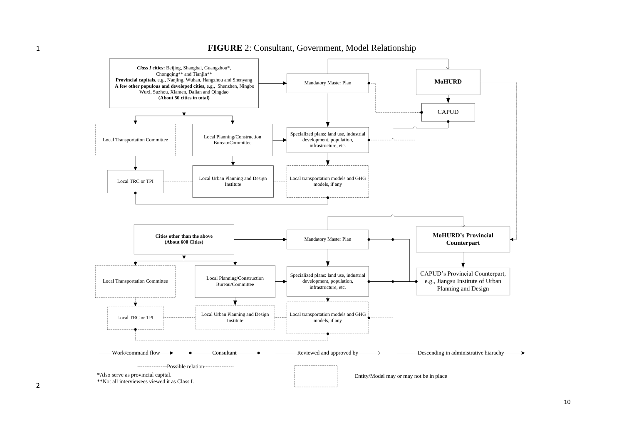

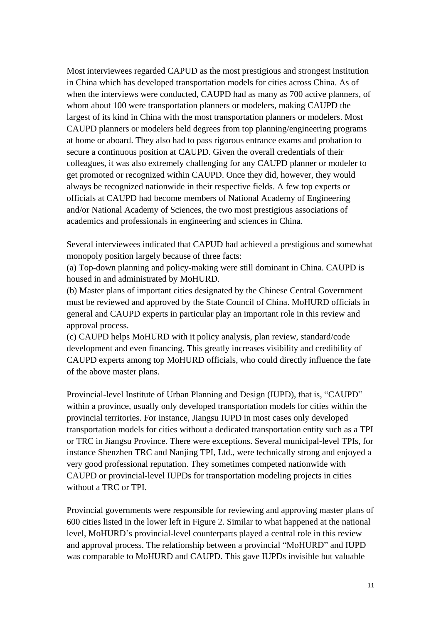Most interviewees regarded CAPUD as the most prestigious and strongest institution in China which has developed transportation models for cities across China. As of when the interviews were conducted, CAUPD had as many as 700 active planners, of whom about 100 were transportation planners or modelers, making CAUPD the largest of its kind in China with the most transportation planners or modelers. Most CAUPD planners or modelers held degrees from top planning/engineering programs at home or aboard. They also had to pass rigorous entrance exams and probation to secure a continuous position at CAUPD. Given the overall credentials of their colleagues, it was also extremely challenging for any CAUPD planner or modeler to get promoted or recognized within CAUPD. Once they did, however, they would always be recognized nationwide in their respective fields. A few top experts or officials at CAUPD had become members of National Academy of Engineering and/or National Academy of Sciences, the two most prestigious associations of academics and professionals in engineering and sciences in China.

Several interviewees indicated that CAPUD had achieved a prestigious and somewhat monopoly position largely because of three facts:

(a) Top-down planning and policy-making were still dominant in China. CAUPD is housed in and administrated by MoHURD.

(b) Master plans of important cities designated by the Chinese Central Government must be reviewed and approved by the State Council of China. MoHURD officials in general and CAUPD experts in particular play an important role in this review and approval process.

(c) CAUPD helps MoHURD with it policy analysis, plan review, standard/code development and even financing. This greatly increases visibility and credibility of CAUPD experts among top MoHURD officials, who could directly influence the fate of the above master plans.

Provincial-level Institute of Urban Planning and Design (IUPD), that is, "CAUPD" within a province, usually only developed transportation models for cities within the provincial territories. For instance, Jiangsu IUPD in most cases only developed transportation models for cities without a dedicated transportation entity such as a TPI or TRC in Jiangsu Province. There were exceptions. Several municipal-level TPIs, for instance Shenzhen TRC and Nanjing TPI, Ltd., were technically strong and enjoyed a very good professional reputation. They sometimes competed nationwide with CAUPD or provincial-level IUPDs for transportation modeling projects in cities without a TRC or TPI.

Provincial governments were responsible for reviewing and approving master plans of 600 cities listed in the lower left in Figure 2. Similar to what happened at the national level, MoHURD's provincial-level counterparts played a central role in this review and approval process. The relationship between a provincial "MoHURD" and IUPD was comparable to MoHURD and CAUPD. This gave IUPDs invisible but valuable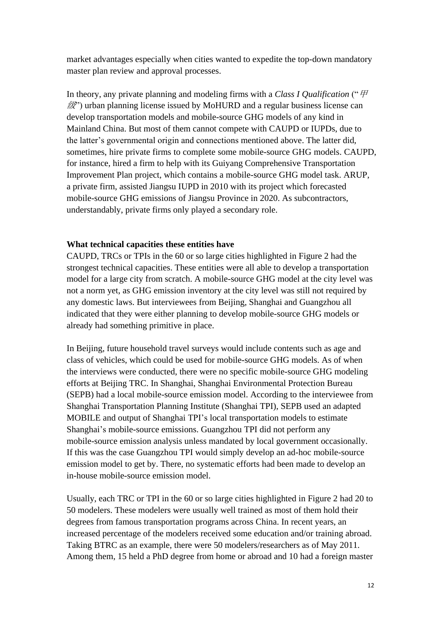market advantages especially when cities wanted to expedite the top-down mandatory master plan review and approval processes.

In theory, any private planning and modeling firms with a *Class I Qualification* ("甲  $\mathscr{L}$ ) urban planning license issued by MoHURD and a regular business license can develop transportation models and mobile-source GHG models of any kind in Mainland China. But most of them cannot compete with CAUPD or IUPDs, due to the latter's governmental origin and connections mentioned above. The latter did, sometimes, hire private firms to complete some mobile-source GHG models. CAUPD, for instance, hired a firm to help with its Guiyang Comprehensive Transportation Improvement Plan project, which contains a mobile-source GHG model task. ARUP, a private firm, assisted Jiangsu IUPD in 2010 with its project which forecasted mobile-source GHG emissions of Jiangsu Province in 2020. As subcontractors, understandably, private firms only played a secondary role.

#### **What technical capacities these entities have**

CAUPD, TRCs or TPIs in the 60 or so large cities highlighted in Figure 2 had the strongest technical capacities. These entities were all able to develop a transportation model for a large city from scratch. A mobile-source GHG model at the city level was not a norm yet, as GHG emission inventory at the city level was still not required by any domestic laws. But interviewees from Beijing, Shanghai and Guangzhou all indicated that they were either planning to develop mobile-source GHG models or already had something primitive in place.

In Beijing, future household travel surveys would include contents such as age and class of vehicles, which could be used for mobile-source GHG models. As of when the interviews were conducted, there were no specific mobile-source GHG modeling efforts at Beijing TRC. In Shanghai, Shanghai Environmental Protection Bureau (SEPB) had a local mobile-source emission model. According to the interviewee from Shanghai Transportation Planning Institute (Shanghai TPI), SEPB used an adapted MOBILE and output of Shanghai TPI's local transportation models to estimate Shanghai's mobile-source emissions. Guangzhou TPI did not perform any mobile-source emission analysis unless mandated by local government occasionally. If this was the case Guangzhou TPI would simply develop an ad-hoc mobile-source emission model to get by. There, no systematic efforts had been made to develop an in-house mobile-source emission model.

Usually, each TRC or TPI in the 60 or so large cities highlighted in Figure 2 had 20 to 50 modelers. These modelers were usually well trained as most of them hold their degrees from famous transportation programs across China. In recent years, an increased percentage of the modelers received some education and/or training abroad. Taking BTRC as an example, there were 50 modelers/researchers as of May 2011. Among them, 15 held a PhD degree from home or abroad and 10 had a foreign master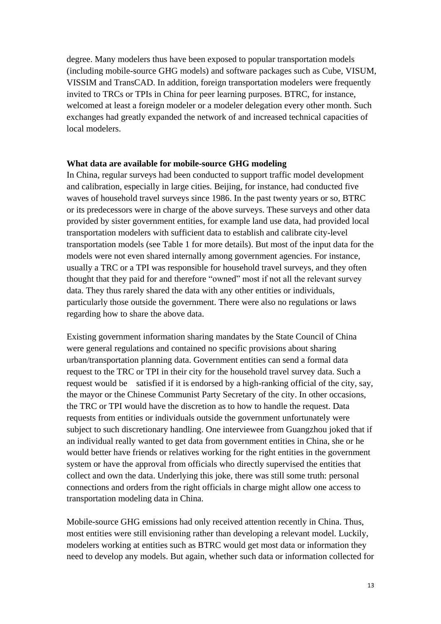degree. Many modelers thus have been exposed to popular transportation models (including mobile-source GHG models) and software packages such as Cube, VISUM, VISSIM and TransCAD. In addition, foreign transportation modelers were frequently invited to TRCs or TPIs in China for peer learning purposes. BTRC, for instance, welcomed at least a foreign modeler or a modeler delegation every other month. Such exchanges had greatly expanded the network of and increased technical capacities of local modelers.

#### **What data are available for mobile-source GHG modeling**

In China, regular surveys had been conducted to support traffic model development and calibration, especially in large cities. Beijing, for instance, had conducted five waves of household travel surveys since 1986. In the past twenty years or so, BTRC or its predecessors were in charge of the above surveys. These surveys and other data provided by sister government entities, for example land use data, had provided local transportation modelers with sufficient data to establish and calibrate city-level transportation models (see Table 1 for more details). But most of the input data for the models were not even shared internally among government agencies. For instance, usually a TRC or a TPI was responsible for household travel surveys, and they often thought that they paid for and therefore "owned" most if not all the relevant survey data. They thus rarely shared the data with any other entities or individuals, particularly those outside the government. There were also no regulations or laws regarding how to share the above data.

Existing government information sharing mandates by the State Council of China were general regulations and contained no specific provisions about sharing urban/transportation planning data. Government entities can send a formal data request to the TRC or TPI in their city for the household travel survey data. Such a request would be satisfied if it is endorsed by a high-ranking official of the city, say, the mayor or the Chinese Communist Party Secretary of the city. In other occasions, the TRC or TPI would have the discretion as to how to handle the request. Data requests from entities or individuals outside the government unfortunately were subject to such discretionary handling. One interviewee from Guangzhou joked that if an individual really wanted to get data from government entities in China, she or he would better have friends or relatives working for the right entities in the government system or have the approval from officials who directly supervised the entities that collect and own the data. Underlying this joke, there was still some truth: personal connections and orders from the right officials in charge might allow one access to transportation modeling data in China.

Mobile-source GHG emissions had only received attention recently in China. Thus, most entities were still envisioning rather than developing a relevant model. Luckily, modelers working at entities such as BTRC would get most data or information they need to develop any models. But again, whether such data or information collected for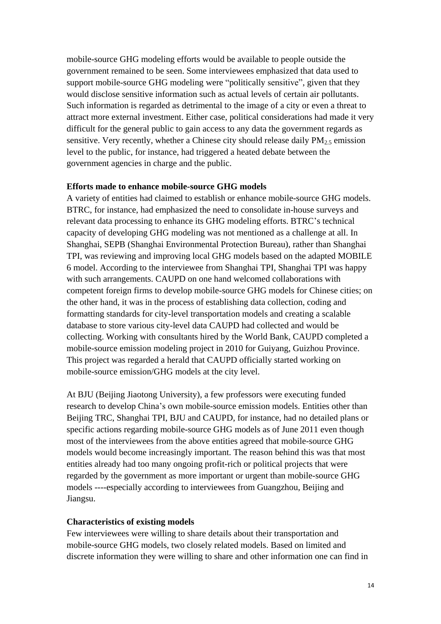mobile-source GHG modeling efforts would be available to people outside the government remained to be seen. Some interviewees emphasized that data used to support mobile-source GHG modeling were "politically sensitive", given that they would disclose sensitive information such as actual levels of certain air pollutants. Such information is regarded as detrimental to the image of a city or even a threat to attract more external investment. Either case, political considerations had made it very difficult for the general public to gain access to any data the government regards as sensitive. Very recently, whether a Chinese city should release daily  $PM_{2.5}$  emission level to the public, for instance, had triggered a heated debate between the government agencies in charge and the public.

#### **Efforts made to enhance mobile-source GHG models**

A variety of entities had claimed to establish or enhance mobile-source GHG models. BTRC, for instance, had emphasized the need to consolidate in-house surveys and relevant data processing to enhance its GHG modeling efforts. BTRC's technical capacity of developing GHG modeling was not mentioned as a challenge at all. In Shanghai, SEPB (Shanghai Environmental Protection Bureau), rather than Shanghai TPI, was reviewing and improving local GHG models based on the adapted MOBILE 6 model. According to the interviewee from Shanghai TPI, Shanghai TPI was happy with such arrangements. CAUPD on one hand welcomed collaborations with competent foreign firms to develop mobile-source GHG models for Chinese cities; on the other hand, it was in the process of establishing data collection, coding and formatting standards for city-level transportation models and creating a scalable database to store various city-level data CAUPD had collected and would be collecting. Working with consultants hired by the World Bank, CAUPD completed a mobile-source emission modeling project in 2010 for Guiyang, Guizhou Province. This project was regarded a herald that CAUPD officially started working on mobile-source emission/GHG models at the city level.

At BJU (Beijing Jiaotong University), a few professors were executing funded research to develop China's own mobile-source emission models. Entities other than Beijing TRC, Shanghai TPI, BJU and CAUPD, for instance, had no detailed plans or specific actions regarding mobile-source GHG models as of June 2011 even though most of the interviewees from the above entities agreed that mobile-source GHG models would become increasingly important. The reason behind this was that most entities already had too many ongoing profit-rich or political projects that were regarded by the government as more important or urgent than mobile-source GHG models ----especially according to interviewees from Guangzhou, Beijing and Jiangsu.

#### **Characteristics of existing models**

Few interviewees were willing to share details about their transportation and mobile-source GHG models, two closely related models. Based on limited and discrete information they were willing to share and other information one can find in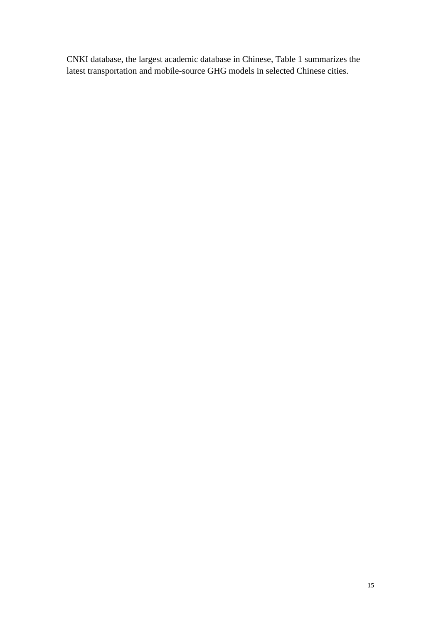CNKI database, the largest academic database in Chinese, Table 1 summarizes the latest transportation and mobile-source GHG models in selected Chinese cities.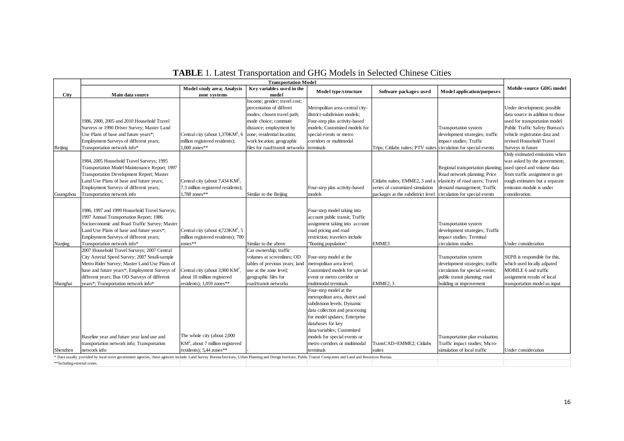|                                                                                                                                                                                                                 | <b>Transportation Model</b>                                                                                                                                                                                                            |                                                                                                         |                                                                                                                                                                                                       |                                                                                                                                                                                                                                                                                              |                                                                                                     |                                                                                                                                                         |                                                                                                                                                                                                  |
|-----------------------------------------------------------------------------------------------------------------------------------------------------------------------------------------------------------------|----------------------------------------------------------------------------------------------------------------------------------------------------------------------------------------------------------------------------------------|---------------------------------------------------------------------------------------------------------|-------------------------------------------------------------------------------------------------------------------------------------------------------------------------------------------------------|----------------------------------------------------------------------------------------------------------------------------------------------------------------------------------------------------------------------------------------------------------------------------------------------|-----------------------------------------------------------------------------------------------------|---------------------------------------------------------------------------------------------------------------------------------------------------------|--------------------------------------------------------------------------------------------------------------------------------------------------------------------------------------------------|
| City                                                                                                                                                                                                            | Main data source                                                                                                                                                                                                                       | <b>Model study area; Analysis</b><br>zone systems                                                       | Key variables used in the<br>model                                                                                                                                                                    | Model type/structure                                                                                                                                                                                                                                                                         | Software packages used                                                                              | <b>Model application/purposes</b>                                                                                                                       | Mobile-source GHG model                                                                                                                                                                          |
|                                                                                                                                                                                                                 | 1986, 2000, 2005 and 2010 Household Travel<br>Surveys or 1990 Driver Survey; Master Land<br>Use Plans of base and future years*;<br>Employment Surveys of different years;                                                             | Central city (about $1,370KM^2$ , 6<br>million registered residents);                                   | Income; gender; travel cost;<br>percentation of differet<br>modes; chosen travel path;<br>mode choice; commute<br>distance; employment by<br>zone; residential location;<br>work location; geographic | Metropolitan area-central city-<br>district-subdivision models;<br>Four-step plus activity-based<br>models; Customized models for<br>special events or metro<br>corridors or multimodal                                                                                                      |                                                                                                     | <b>Transportation</b> system<br>development strategies; traffic<br>impact studies; Traffic                                                              | Under development; possible<br>data source in addition to those<br>used for transportation model:<br>Public Traffic Safety Bureau's<br>vehicle registration data and<br>revised Household Travel |
| Beijing                                                                                                                                                                                                         | Transportation network info*                                                                                                                                                                                                           | $1,000$ zones**                                                                                         | files for road/transit networks                                                                                                                                                                       | terminals                                                                                                                                                                                                                                                                                    | Trips; Citilabs suites; PTV suites circulation for special events                                   |                                                                                                                                                         | Surveys in future                                                                                                                                                                                |
|                                                                                                                                                                                                                 | 1984, 2005 Household Travel Surveys; 1995<br>Transportation Model Maintenance Report; 1997<br>Transportation Development Report; Master<br>Land Use Plans of base and future years;<br>Employment Surveys of different years;          | Central city (about $7,434$ KM <sup>2</sup> ,<br>7.3 million registered residents);                     |                                                                                                                                                                                                       | Four-step plus activity-based                                                                                                                                                                                                                                                                | Citilabs suites; EMME2, 3 and a elasticity of road users; Travel<br>series of customized simulation | Regional transportation planning; used speed and volume data<br>Road network planning; Price<br>demand management; Traffic                              | Only estimated emissions when<br>was asked by the government;<br>from traffic assignment to get<br>rough estimates but a separate<br>emission module is under                                    |
| Guangzhou                                                                                                                                                                                                       | Transportation network info                                                                                                                                                                                                            | 1,788 zones**                                                                                           | Similar to the Beijing                                                                                                                                                                                | models                                                                                                                                                                                                                                                                                       | packages at the subdistrict level                                                                   | circulation for special events                                                                                                                          | consideration.                                                                                                                                                                                   |
|                                                                                                                                                                                                                 | 1986, 1997 and 1999 Household Travel Surveys;<br>1997 Annual Transportation Report; 1986<br>Socioeconomic and Road Traffic Survey; Master<br>Land Use Plans of base and future years*;<br>Employment Surveys of different years;       | Central city (about $4,723KM^2$ , 5<br>million registered residents); 700                               |                                                                                                                                                                                                       | Four-step model taking into<br>account public transit; Traffic<br>assignment taking into account<br>road pricing and road<br>restriction; travelers include                                                                                                                                  |                                                                                                     | Transportation system<br>development strategies; Traffic<br>impact studies; Terminal                                                                    |                                                                                                                                                                                                  |
| Nanjing                                                                                                                                                                                                         | Transportation network info*<br>2007 Household Travel Surveys; 2007 Central                                                                                                                                                            | zones $**$                                                                                              | Similar to the above<br>Car ownership; traffic                                                                                                                                                        | "floating population"                                                                                                                                                                                                                                                                        | EMME3                                                                                               | circulation studies                                                                                                                                     | Under consideration                                                                                                                                                                              |
| Shanghai                                                                                                                                                                                                        | City Arterial Speed Survey; 2007 Small-sample<br>Metro Rider Survey; Master Land Use Plans of<br>base and future years*; Employment Surveys of<br>different years; Bus OD Surveys of different<br>years*; Transportation network info* | Central city (about 3,900 KM <sup>2</sup> ,<br>about 10 million registered<br>residents); 1,059 zones** | volumes at screenlines; OD<br>tables of previous years; land<br>use at the zone level;<br>geographic files for<br>road/transit networks                                                               | Four-step model at the<br>metropolitan area level;<br>Customized models for special<br>event or metro corridor or<br>multimodal terminals                                                                                                                                                    | EMME2, 3                                                                                            | Transportation system<br>development strategies; traffic<br>circulation for special events;<br>public transit planning; road<br>building or improvement | SEPB is responsible for this,<br>which used locally adpated<br>MOBILE 6 and traffic<br>assignment results of local<br>transportation model as input                                              |
| Shenzhen                                                                                                                                                                                                        | Baseline year and future year land use and<br>transportation network info; Transportation<br>network info                                                                                                                              | The whole city (about 2,000<br>$KM^2$ , about 7 million registered<br>residents); 5,44 zones**          |                                                                                                                                                                                                       | Four-step model at the<br>metropolitan area, district and<br>subdivision levels; Dynamic<br>data collection and processing<br>for model updates; Enterprise<br>databases for key<br>data/variables; Customized<br>models for special events or<br>metro corridors or multimodal<br>terminals | TransCAD+EMME2; Citilabs<br>suites                                                                  | Transportation plan evaluation;<br>Traffic impact studies; Micro-<br>simulation of local traffic                                                        | Under consideration                                                                                                                                                                              |
| * Data usually provided by local sister government agencies, these agencies include: Land Survey Bureau/Institute, Urban Planning and Design Institute, Public Transit Companies and Land and Resources Bureau. |                                                                                                                                                                                                                                        |                                                                                                         |                                                                                                                                                                                                       |                                                                                                                                                                                                                                                                                              |                                                                                                     |                                                                                                                                                         |                                                                                                                                                                                                  |
| **Including external zones.                                                                                                                                                                                     |                                                                                                                                                                                                                                        |                                                                                                         |                                                                                                                                                                                                       |                                                                                                                                                                                                                                                                                              |                                                                                                     |                                                                                                                                                         |                                                                                                                                                                                                  |

# **TABLE** 1. Latest Transportation and GHG Models in Selected Chinese Cities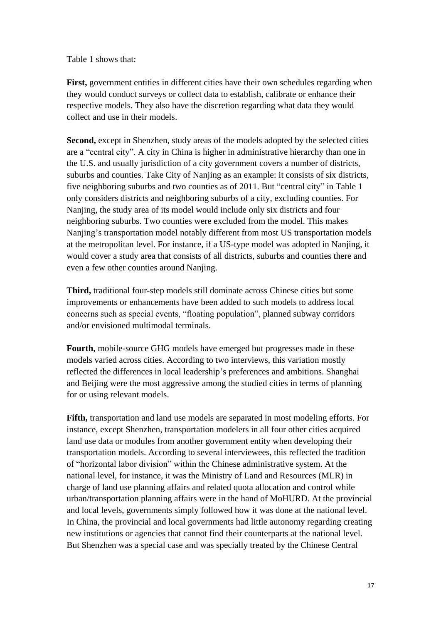Table 1 shows that:

First, government entities in different cities have their own schedules regarding when they would conduct surveys or collect data to establish, calibrate or enhance their respective models. They also have the discretion regarding what data they would collect and use in their models.

**Second,** except in Shenzhen, study areas of the models adopted by the selected cities are a "central city". A city in China is higher in administrative hierarchy than one in the U.S. and usually jurisdiction of a city government covers a number of districts, suburbs and counties. Take City of Nanjing as an example: it consists of six districts, five neighboring suburbs and two counties as of 2011. But "central city" in Table 1 only considers districts and neighboring suburbs of a city, excluding counties. For Nanjing, the study area of its model would include only six districts and four neighboring suburbs. Two counties were excluded from the model. This makes Nanjing's transportation model notably different from most US transportation models at the metropolitan level. For instance, if a US-type model was adopted in Nanjing, it would cover a study area that consists of all districts, suburbs and counties there and even a few other counties around Nanjing.

**Third,** traditional four-step models still dominate across Chinese cities but some improvements or enhancements have been added to such models to address local concerns such as special events, "floating population", planned subway corridors and/or envisioned multimodal terminals.

**Fourth,** mobile-source GHG models have emerged but progresses made in these models varied across cities. According to two interviews, this variation mostly reflected the differences in local leadership's preferences and ambitions. Shanghai and Beijing were the most aggressive among the studied cities in terms of planning for or using relevant models.

**Fifth,** transportation and land use models are separated in most modeling efforts. For instance, except Shenzhen, transportation modelers in all four other cities acquired land use data or modules from another government entity when developing their transportation models. According to several interviewees, this reflected the tradition of "horizontal labor division" within the Chinese administrative system. At the national level, for instance, it was the Ministry of Land and Resources (MLR) in charge of land use planning affairs and related quota allocation and control while urban/transportation planning affairs were in the hand of MoHURD. At the provincial and local levels, governments simply followed how it was done at the national level. In China, the provincial and local governments had little autonomy regarding creating new institutions or agencies that cannot find their counterparts at the national level. But Shenzhen was a special case and was specially treated by the Chinese Central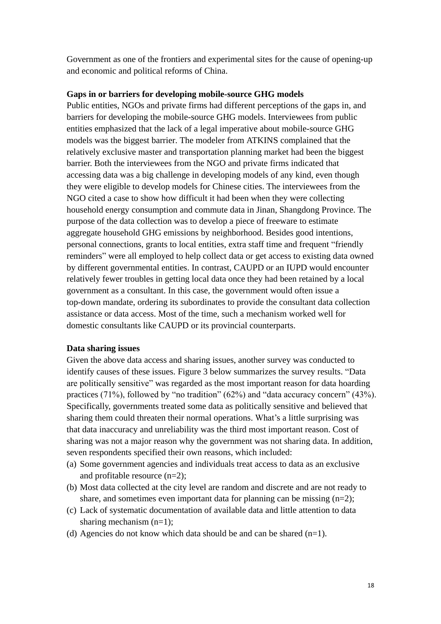Government as one of the frontiers and experimental sites for the cause of opening-up and economic and political reforms of China.

#### **Gaps in or barriers for developing mobile-source GHG models**

Public entities, NGOs and private firms had different perceptions of the gaps in, and barriers for developing the mobile-source GHG models. Interviewees from public entities emphasized that the lack of a legal imperative about mobile-source GHG models was the biggest barrier. The modeler from ATKINS complained that the relatively exclusive master and transportation planning market had been the biggest barrier. Both the interviewees from the NGO and private firms indicated that accessing data was a big challenge in developing models of any kind, even though they were eligible to develop models for Chinese cities. The interviewees from the NGO cited a case to show how difficult it had been when they were collecting household energy consumption and commute data in Jinan, Shangdong Province. The purpose of the data collection was to develop a piece of freeware to estimate aggregate household GHG emissions by neighborhood. Besides good intentions, personal connections, grants to local entities, extra staff time and frequent "friendly reminders" were all employed to help collect data or get access to existing data owned by different governmental entities. In contrast, CAUPD or an IUPD would encounter relatively fewer troubles in getting local data once they had been retained by a local government as a consultant. In this case, the government would often issue a top-down mandate, ordering its subordinates to provide the consultant data collection assistance or data access. Most of the time, such a mechanism worked well for domestic consultants like CAUPD or its provincial counterparts.

#### **Data sharing issues**

Given the above data access and sharing issues, another survey was conducted to identify causes of these issues. Figure 3 below summarizes the survey results. "Data are politically sensitive" was regarded as the most important reason for data hoarding practices (71%), followed by "no tradition" (62%) and "data accuracy concern" (43%). Specifically, governments treated some data as politically sensitive and believed that sharing them could threaten their normal operations. What's a little surprising was that data inaccuracy and unreliability was the third most important reason. Cost of sharing was not a major reason why the government was not sharing data. In addition, seven respondents specified their own reasons, which included:

- (a) Some government agencies and individuals treat access to data as an exclusive and profitable resource (n=2);
- (b) Most data collected at the city level are random and discrete and are not ready to share, and sometimes even important data for planning can be missing  $(n=2)$ ;
- (c) Lack of systematic documentation of available data and little attention to data sharing mechanism (n=1);
- (d) Agencies do not know which data should be and can be shared  $(n=1)$ .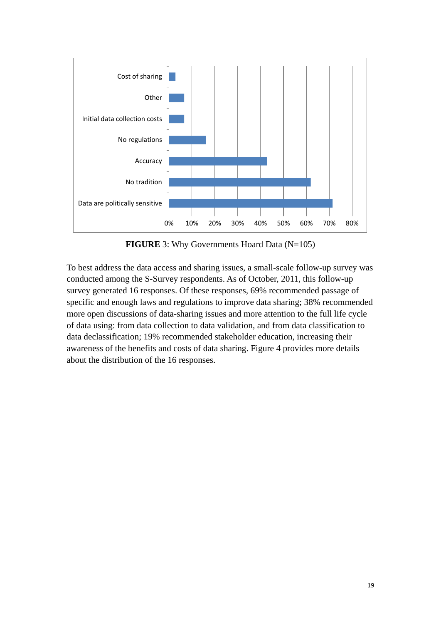

**FIGURE** 3: Why Governments Hoard Data (N=105)

To best address the data access and sharing issues, a small-scale follow-up survey was conducted among the S-Survey respondents. As of October, 2011, this follow-up survey generated 16 responses. Of these responses, 69% recommended passage of specific and enough laws and regulations to improve data sharing; 38% recommended more open discussions of data-sharing issues and more attention to the full life cycle of data using: from data collection to data validation, and from data classification to data declassification; 19% recommended stakeholder education, increasing their awareness of the benefits and costs of data sharing. Figure 4 provides more details about the distribution of the 16 responses.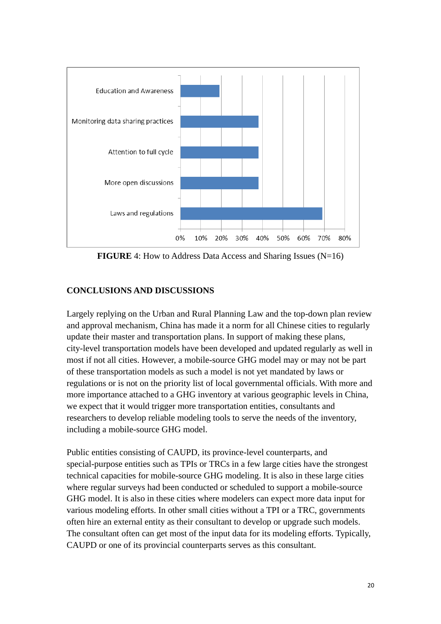

**FIGURE** 4: How to Address Data Access and Sharing Issues (N=16)

# **CONCLUSIONS AND DISCUSSIONS**

Largely replying on the Urban and Rural Planning Law and the top-down plan review and approval mechanism, China has made it a norm for all Chinese cities to regularly update their master and transportation plans. In support of making these plans, city-level transportation models have been developed and updated regularly as well in most if not all cities. However, a mobile-source GHG model may or may not be part of these transportation models as such a model is not yet mandated by laws or regulations or is not on the priority list of local governmental officials. With more and more importance attached to a GHG inventory at various geographic levels in China, we expect that it would trigger more transportation entities, consultants and researchers to develop reliable modeling tools to serve the needs of the inventory, including a mobile-source GHG model.

Public entities consisting of CAUPD, its province-level counterparts, and special-purpose entities such as TPIs or TRCs in a few large cities have the strongest technical capacities for mobile-source GHG modeling. It is also in these large cities where regular surveys had been conducted or scheduled to support a mobile-source GHG model. It is also in these cities where modelers can expect more data input for various modeling efforts. In other small cities without a TPI or a TRC, governments often hire an external entity as their consultant to develop or upgrade such models. The consultant often can get most of the input data for its modeling efforts. Typically, CAUPD or one of its provincial counterparts serves as this consultant.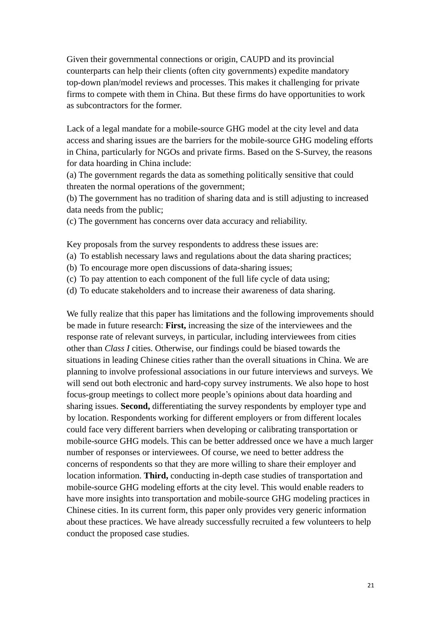Given their governmental connections or origin, CAUPD and its provincial counterparts can help their clients (often city governments) expedite mandatory top-down plan/model reviews and processes. This makes it challenging for private firms to compete with them in China. But these firms do have opportunities to work as subcontractors for the former.

Lack of a legal mandate for a mobile-source GHG model at the city level and data access and sharing issues are the barriers for the mobile-source GHG modeling efforts in China, particularly for NGOs and private firms. Based on the S-Survey, the reasons for data hoarding in China include:

(a) The government regards the data as something politically sensitive that could threaten the normal operations of the government;

(b) The government has no tradition of sharing data and is still adjusting to increased data needs from the public;

(c) The government has concerns over data accuracy and reliability.

Key proposals from the survey respondents to address these issues are:

(a) To establish necessary laws and regulations about the data sharing practices;

- (b) To encourage more open discussions of data-sharing issues;
- (c) To pay attention to each component of the full life cycle of data using;
- (d) To educate stakeholders and to increase their awareness of data sharing.

We fully realize that this paper has limitations and the following improvements should be made in future research: **First,** increasing the size of the interviewees and the response rate of relevant surveys, in particular, including interviewees from cities other than *Class I* cities. Otherwise, our findings could be biased towards the situations in leading Chinese cities rather than the overall situations in China. We are planning to involve professional associations in our future interviews and surveys. We will send out both electronic and hard-copy survey instruments. We also hope to host focus-group meetings to collect more people's opinions about data hoarding and sharing issues. **Second,** differentiating the survey respondents by employer type and by location. Respondents working for different employers or from different locales could face very different barriers when developing or calibrating transportation or mobile-source GHG models. This can be better addressed once we have a much larger number of responses or interviewees. Of course, we need to better address the concerns of respondents so that they are more willing to share their employer and location information. **Third,** conducting in-depth case studies of transportation and mobile-source GHG modeling efforts at the city level. This would enable readers to have more insights into transportation and mobile-source GHG modeling practices in Chinese cities. In its current form, this paper only provides very generic information about these practices. We have already successfully recruited a few volunteers to help conduct the proposed case studies.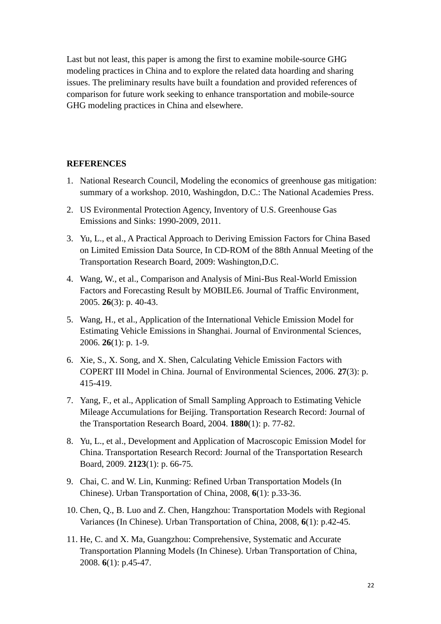Last but not least, this paper is among the first to examine mobile-source GHG modeling practices in China and to explore the related data hoarding and sharing issues. The preliminary results have built a foundation and provided references of comparison for future work seeking to enhance transportation and mobile-source GHG modeling practices in China and elsewhere.

#### **REFERENCES**

- 1. National Research Council, Modeling the economics of greenhouse gas mitigation: summary of a workshop. 2010, Washingdon, D.C.: The National Academies Press.
- 2. US Evironmental Protection Agency, Inventory of U.S. Greenhouse Gas Emissions and Sinks: 1990-2009, 2011.
- 3. Yu, L., et al., A Practical Approach to Deriving Emission Factors for China Based on Limited Emission Data Source, In CD-ROM of the 88th Annual Meeting of the Transportation Research Board, 2009: Washington,D.C.
- 4. Wang, W., et al., Comparison and Analysis of Mini-Bus Real-World Emission Factors and Forecasting Result by MOBILE6. Journal of Traffic Environment, 2005. **26**(3): p. 40-43.
- 5. Wang, H., et al., Application of the International Vehicle Emission Model for Estimating Vehicle Emissions in Shanghai. Journal of Environmental Sciences, 2006. **26**(1): p. 1-9.
- 6. Xie, S., X. Song, and X. Shen, Calculating Vehicle Emission Factors with COPERT III Model in China. Journal of Environmental Sciences, 2006. **27**(3): p. 415-419.
- 7. Yang, F., et al., Application of Small Sampling Approach to Estimating Vehicle Mileage Accumulations for Beijing. Transportation Research Record: Journal of the Transportation Research Board, 2004. **1880**(1): p. 77-82.
- 8. Yu, L., et al., Development and Application of Macroscopic Emission Model for China. Transportation Research Record: Journal of the Transportation Research Board, 2009. **2123**(1): p. 66-75.
- 9. Chai, C. and W. Lin, Kunming: Refined Urban Transportation Models (In Chinese). Urban Transportation of China, 2008, **6**(1): p.33-36.
- 10. Chen, Q., B. Luo and Z. Chen, Hangzhou: Transportation Models with Regional Variances (In Chinese). Urban Transportation of China, 2008, **6**(1): p.42-45.
- 11. He, C. and X. Ma, Guangzhou: Comprehensive, Systematic and Accurate Transportation Planning Models (In Chinese). Urban Transportation of China, 2008. **6**(1): p.45-47.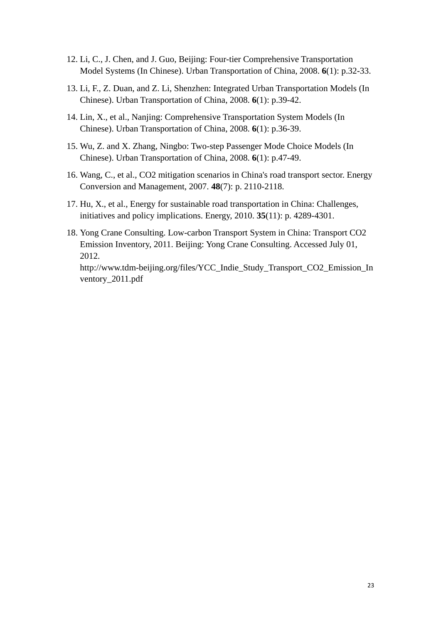- 12. Li, C., J. Chen, and J. Guo, Beijing: Four-tier Comprehensive Transportation Model Systems (In Chinese). Urban Transportation of China, 2008. **6**(1): p.32-33.
- 13. Li, F., Z. Duan, and Z. Li, Shenzhen: Integrated Urban Transportation Models (In Chinese). Urban Transportation of China, 2008. **6**(1): p.39-42.
- 14. Lin, X., et al., Nanjing: Comprehensive Transportation System Models (In Chinese). Urban Transportation of China, 2008. **6**(1): p.36-39.
- 15. Wu, Z. and X. Zhang, Ningbo: Two-step Passenger Mode Choice Models (In Chinese). Urban Transportation of China, 2008. **6**(1): p.47-49.
- 16. Wang, C., et al., CO2 mitigation scenarios in China's road transport sector. Energy Conversion and Management, 2007. **48**(7): p. 2110-2118.
- 17. Hu, X., et al., Energy for sustainable road transportation in China: Challenges, initiatives and policy implications. Energy, 2010. **35**(11): p. 4289-4301.
- 18. Yong Crane Consulting. Low-carbon Transport System in China: Transport CO2 Emission Inventory, 2011. Beijing: Yong Crane Consulting. Accessed July 01, 2012. [http://www.tdm-beijing.org/files/YCC\\_Indie\\_Study\\_Transport\\_CO2\\_Emission\\_In](http://www.tdm-beijing.org/files/YCC_Indie_Study_Transport_CO2_Emission_Inventory_2011.pdf) [ventory\\_2011.pdf](http://www.tdm-beijing.org/files/YCC_Indie_Study_Transport_CO2_Emission_Inventory_2011.pdf)